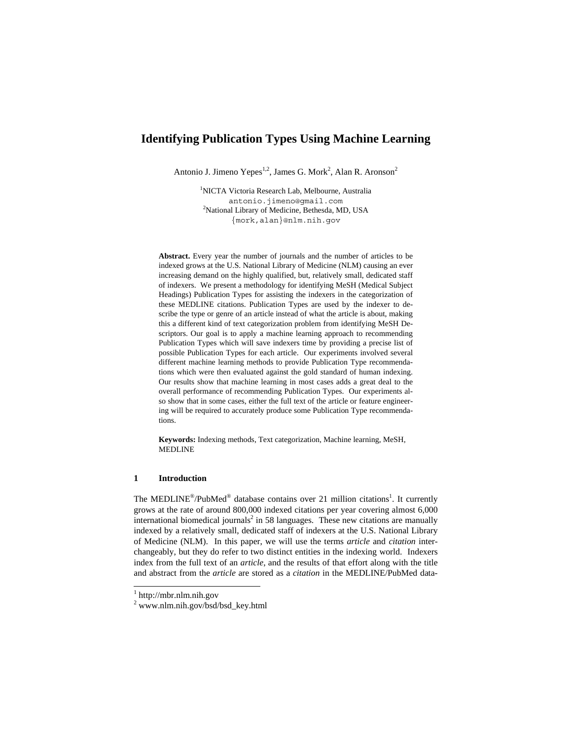# **Identifying Publication Types Using Machine Learning**

Antonio J. Jimeno Yepes<sup>1,2</sup>, James G. Mork<sup>2</sup>, Alan R. Aronson<sup>2</sup>

1 NICTA Victoria Research Lab, Melbourne, Australia antonio.jimeno@gmail.com <sup>2</sup> <sup>2</sup>National Library of Medicine, Bethesda, MD, USA {mork,alan}@nlm.nih.gov

**Abstract.** Every year the number of journals and the number of articles to be indexed grows at the U.S. National Library of Medicine (NLM) causing an ever increasing demand on the highly qualified, but, relatively small, dedicated staff of indexers. We present a methodology for identifying MeSH (Medical Subject Headings) Publication Types for assisting the indexers in the categorization of these MEDLINE citations. Publication Types are used by the indexer to describe the type or genre of an article instead of what the article is about, making this a different kind of text categorization problem from identifying MeSH Descriptors. Our goal is to apply a machine learning approach to recommending Publication Types which will save indexers time by providing a precise list of possible Publication Types for each article. Our experiments involved several different machine learning methods to provide Publication Type recommendations which were then evaluated against the gold standard of human indexing. Our results show that machine learning in most cases adds a great deal to the overall performance of recommending Publication Types. Our experiments also show that in some cases, either the full text of the article or feature engineering will be required to accurately produce some Publication Type recommendations.

**Keywords:** Indexing methods, Text categorization, Machine learning, MeSH, MEDLINE

# **1 Introduction**

The MEDLINE<sup>®</sup>/PubMed<sup>®</sup> database contains over 21 million citations<sup>1</sup>. It currently grows at the rate of around 800,000 indexed citations per year covering almost 6,000 international biomedical journals<sup>2</sup> in 58 languages. These new citations are manually indexed by a relatively small, dedicated staff of indexers at the U.S. National Library of Medicine (NLM). In this paper, we will use the terms *article* and *citation* interchangeably, but they do refer to two distinct entities in the indexing world. Indexers index from the full text of an *article*, and the results of that effort along with the title and abstract from the *article* are stored as a *citation* in the MEDLINE/PubMed data-

<sup>1</sup> http://mbr.nlm.nih.gov

<sup>2</sup> www.nlm.nih.gov/bsd/bsd\_key.html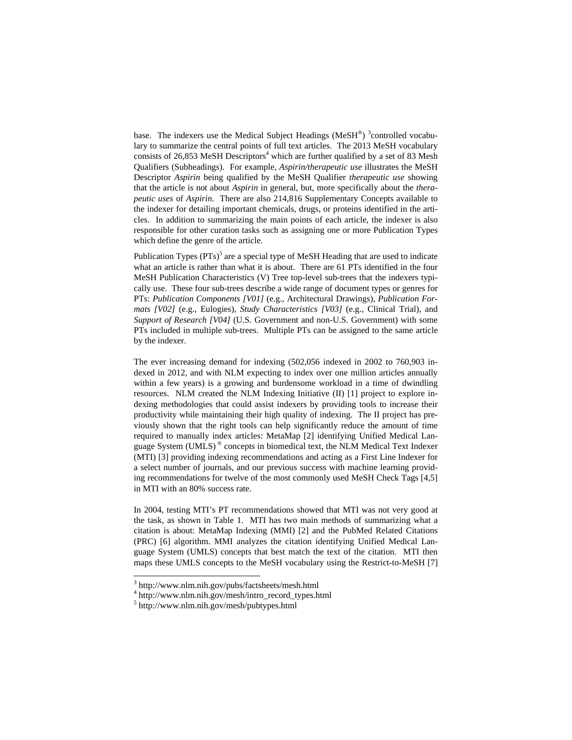base. The indexers use the Medical Subject Headings (MeSH®)  $3$ controlled vocabulary to summarize the central points of full text articles. The 2013 MeSH vocabulary consists of 26,853 MeSH Descriptors<sup>4</sup> which are further qualified by a set of 83 Mesh Qualifiers (Subheadings). For example, *Aspirin/therapeutic use* illustrates the MeSH Descriptor *Aspirin* being qualified by the MeSH Qualifier *therapeutic use* showing that the article is not about *Aspirin* in general, but, more specifically about the *therapeutic uses* of *Aspirin*. There are also 214,816 Supplementary Concepts available to the indexer for detailing important chemicals, drugs, or proteins identified in the articles. In addition to summarizing the main points of each article, the indexer is also responsible for other curation tasks such as assigning one or more Publication Types which define the genre of the article.

Publication Types  $(PTs)$ <sup>5</sup> are a special type of MeSH Heading that are used to indicate what an article is rather than what it is about. There are 61 PTs identified in the four MeSH Publication Characteristics (V) Tree top-level sub-trees that the indexers typically use. These four sub-trees describe a wide range of document types or genres for PTs: *Publication Components [V01]* (e.g., Architectural Drawings), *Publication Formats [V02]* (e.g., Eulogies), *Study Characteristics [V03]* (e.g., Clinical Trial), and *Support of Research [V04]* (U.S. Government and non-U.S. Government) with some PTs included in multiple sub-trees. Multiple PTs can be assigned to the same article by the indexer.

The ever increasing demand for indexing (502,056 indexed in 2002 to 760,903 indexed in 2012, and with NLM expecting to index over one million articles annually within a few years) is a growing and burdensome workload in a time of dwindling resources. NLM created the NLM Indexing Initiative (II) [1] project to explore indexing methodologies that could assist indexers by providing tools to increase their productivity while maintaining their high quality of indexing. The II project has previously shown that the right tools can help significantly reduce the amount of time required to manually index articles: MetaMap [2] identifying Unified Medical Language System (UMLS) ® concepts in biomedical text, the NLM Medical Text Indexer (MTI) [3] providing indexing recommendations and acting as a First Line Indexer for a select number of journals, and our previous success with machine learning providing recommendations for twelve of the most commonly used MeSH Check Tags [4,5] in MTI with an 80% success rate.

In 2004, testing MTI's PT recommendations showed that MTI was not very good at the task, as shown in Table 1. MTI has two main methods of summarizing what a citation is about: MetaMap Indexing (MMI) [2] and the PubMed Related Citations (PRC) [6] algorithm. MMI analyzes the citation identifying Unified Medical Language System (UMLS) concepts that best match the text of the citation. MTI then maps these UMLS concepts to the MeSH vocabulary using the Restrict-to-MeSH [7]

<sup>3</sup> http://www.nlm.nih.gov/pubs/factsheets/mesh.html

<sup>4</sup> http://www.nlm.nih.gov/mesh/intro\_record\_types.html

<sup>5</sup> http://www.nlm.nih.gov/mesh/pubtypes.html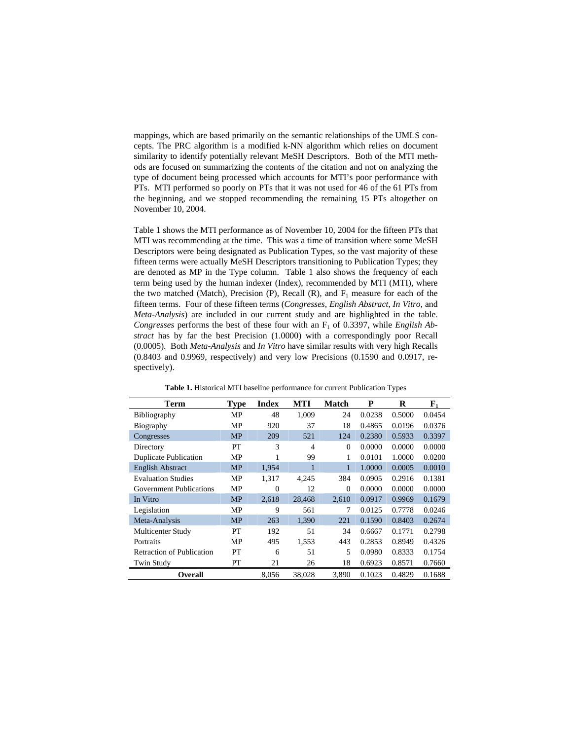mappings, which are based primarily on the semantic relationships of the UMLS concepts. The PRC algorithm is a modified k-NN algorithm which relies on document similarity to identify potentially relevant MeSH Descriptors. Both of the MTI methods are focused on summarizing the contents of the citation and not on analyzing the type of document being processed which accounts for MTI's poor performance with PTs. MTI performed so poorly on PTs that it was not used for 46 of the 61 PTs from the beginning, and we stopped recommending the remaining 15 PTs altogether on November 10, 2004.

Table 1 shows the MTI performance as of November 10, 2004 for the fifteen PTs that MTI was recommending at the time. This was a time of transition where some MeSH Descriptors were being designated as Publication Types, so the vast majority of these fifteen terms were actually MeSH Descriptors transitioning to Publication Types; they are denoted as MP in the Type column. Table 1 also shows the frequency of each term being used by the human indexer (Index), recommended by MTI (MTI), where the two matched (Match), Precision (P), Recall (R), and  $F_1$  measure for each of the fifteen terms. Four of these fifteen terms (*Congresses*, *English Abstract*, *In Vitro*, and *Meta-Analysis*) are included in our current study and are highlighted in the table. Congresses performs the best of these four with an  $F_1$  of 0.3397, while *English Abstract* has by far the best Precision (1.0000) with a correspondingly poor Recall (0.0005). Both *Meta-Analysis* and *In Vitro* have similar results with very high Recalls (0.8403 and 0.9969, respectively) and very low Precisions (0.1590 and 0.0917, respectively).

| <b>Term</b>                      | <b>Type</b> | <b>Index</b>   | MTI            | <b>Match</b> | P      | R      | ${\bf F_1}$ |
|----------------------------------|-------------|----------------|----------------|--------------|--------|--------|-------------|
| <b>Bibliography</b>              | MP          | 48             | 1,009          | 24           | 0.0238 | 0.5000 | 0.0454      |
| Biography                        | MP          | 920            | 37             | 18           | 0.4865 | 0.0196 | 0.0376      |
| Congresses                       | <b>MP</b>   | 209            | 521            | 124          | 0.2380 | 0.5933 | 0.3397      |
| Directory                        | PT          | 3              | $\overline{4}$ | $\Omega$     | 0.0000 | 0.0000 | 0.0000      |
| <b>Duplicate Publication</b>     | MP          | 1              | 99             | 1            | 0.0101 | 1.0000 | 0.0200      |
| <b>English Abstract</b>          | <b>MP</b>   | 1,954          | 1              | 1            | 1.0000 | 0.0005 | 0.0010      |
| <b>Evaluation Studies</b>        | MP          | 1,317          | 4,245          | 384          | 0.0905 | 0.2916 | 0.1381      |
| <b>Government Publications</b>   | MP          | $\overline{0}$ | 12             | $\Omega$     | 0.0000 | 0.0000 | 0.0000      |
| In Vitro                         | <b>MP</b>   | 2,618          | 28,468         | 2,610        | 0.0917 | 0.9969 | 0.1679      |
| Legislation                      | MP          | 9              | 561            | 7            | 0.0125 | 0.7778 | 0.0246      |
| Meta-Analysis                    | <b>MP</b>   | 263            | 1,390          | 221          | 0.1590 | 0.8403 | 0.2674      |
| Multicenter Study                | PТ          | 192            | 51             | 34           | 0.6667 | 0.1771 | 0.2798      |
| Portraits                        | MP          | 495            | 1,553          | 443          | 0.2853 | 0.8949 | 0.4326      |
| <b>Retraction of Publication</b> | PT          | 6              | 51             | 5            | 0.0980 | 0.8333 | 0.1754      |
| Twin Study                       | PТ          | 21             | 26             | 18           | 0.6923 | 0.8571 | 0.7660      |
| <b>Overall</b>                   |             | 8,056          | 38,028         | 3,890        | 0.1023 | 0.4829 | 0.1688      |

**Table 1.** Historical MTI baseline performance for current Publication Types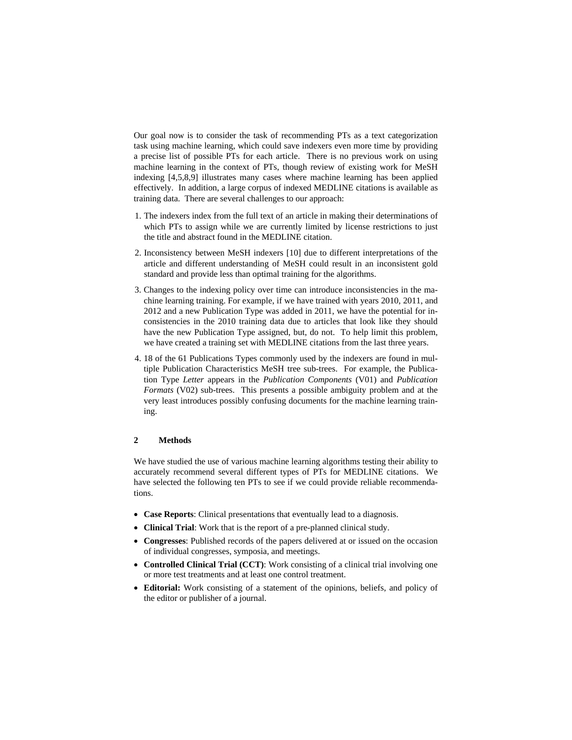Our goal now is to consider the task of recommending PTs as a text categorization task using machine learning, which could save indexers even more time by providing a precise list of possible PTs for each article. There is no previous work on using machine learning in the context of PTs, though review of existing work for MeSH indexing [4,5,8,9] illustrates many cases where machine learning has been applied effectively. In addition, a large corpus of indexed MEDLINE citations is available as training data. There are several challenges to our approach:

- 1. The indexers index from the full text of an article in making their determinations of which PTs to assign while we are currently limited by license restrictions to just the title and abstract found in the MEDLINE citation.
- 2. Inconsistency between MeSH indexers [10] due to different interpretations of the article and different understanding of MeSH could result in an inconsistent gold standard and provide less than optimal training for the algorithms.
- 3. Changes to the indexing policy over time can introduce inconsistencies in the machine learning training. For example, if we have trained with years 2010, 2011, and 2012 and a new Publication Type was added in 2011, we have the potential for inconsistencies in the 2010 training data due to articles that look like they should have the new Publication Type assigned, but, do not. To help limit this problem, we have created a training set with MEDLINE citations from the last three years.
- 4. 18 of the 61 Publications Types commonly used by the indexers are found in multiple Publication Characteristics MeSH tree sub-trees. For example, the Publication Type *Letter* appears in the *Publication Components* (V01) and *Publication Formats* (V02) sub-trees. This presents a possible ambiguity problem and at the very least introduces possibly confusing documents for the machine learning training.

## **2 Methods**

We have studied the use of various machine learning algorithms testing their ability to accurately recommend several different types of PTs for MEDLINE citations. We have selected the following ten PTs to see if we could provide reliable recommendations.

- **Case Reports**: Clinical presentations that eventually lead to a diagnosis.
- **Clinical Trial**: Work that is the report of a pre-planned clinical study.
- **Congresses**: Published records of the papers delivered at or issued on the occasion of individual congresses, symposia, and meetings.
- **Controlled Clinical Trial (CCT)**: Work consisting of a clinical trial involving one or more test treatments and at least one control treatment.
- **Editorial:** Work consisting of a statement of the opinions, beliefs, and policy of the editor or publisher of a journal.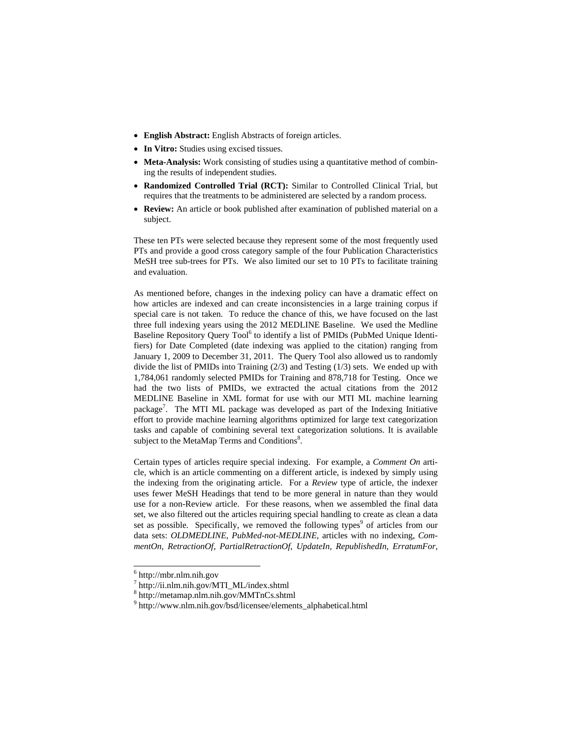- **English Abstract:** English Abstracts of foreign articles.
- **In Vitro:** Studies using excised tissues.
- **Meta-Analysis:** Work consisting of studies using a quantitative method of combining the results of independent studies.
- **Randomized Controlled Trial (RCT):** Similar to Controlled Clinical Trial, but requires that the treatments to be administered are selected by a random process.
- **Review:** An article or book published after examination of published material on a subject.

These ten PTs were selected because they represent some of the most frequently used PTs and provide a good cross category sample of the four Publication Characteristics MeSH tree sub-trees for PTs. We also limited our set to 10 PTs to facilitate training and evaluation.

As mentioned before, changes in the indexing policy can have a dramatic effect on how articles are indexed and can create inconsistencies in a large training corpus if special care is not taken. To reduce the chance of this, we have focused on the last three full indexing years using the 2012 MEDLINE Baseline. We used the Medline Baseline Repository Query Tool<sup>6</sup> to identify a list of PMIDs (PubMed Unique Identifiers) for Date Completed (date indexing was applied to the citation) ranging from January 1, 2009 to December 31, 2011. The Query Tool also allowed us to randomly divide the list of PMIDs into Training (2/3) and Testing (1/3) sets. We ended up with 1,784,061 randomly selected PMIDs for Training and 878,718 for Testing. Once we had the two lists of PMIDs, we extracted the actual citations from the 2012 MEDLINE Baseline in XML format for use with our MTI ML machine learning package<sup>7</sup>. The MTI ML package was developed as part of the Indexing Initiative effort to provide machine learning algorithms optimized for large text categorization tasks and capable of combining several text categorization solutions. It is available subject to the MetaMap Terms and Conditions<sup>8</sup>.

Certain types of articles require special indexing. For example, a *Comment On* article, which is an article commenting on a different article, is indexed by simply using the indexing from the originating article. For a *Review* type of article, the indexer uses fewer MeSH Headings that tend to be more general in nature than they would use for a non-Review article. For these reasons, when we assembled the final data set, we also filtered out the articles requiring special handling to create as clean a data set as possible. Specifically, we removed the following types<sup>9</sup> of articles from our data sets: *OLDMEDLINE*, *PubMed-not-MEDLINE*, articles with no indexing, *CommentOn*, *RetractionOf*, *PartialRetractionOf*, *UpdateIn*, *RepublishedIn*, *ErratumFor*,

 $6$  http://mbr.nlm.nih.gov

<sup>7</sup> http://ii.nlm.nih.gov/MTI\_ML/index.shtml

<sup>8</sup> http://metamap.nlm.nih.gov/MMTnCs.shtml

<sup>9</sup> http://www.nlm.nih.gov/bsd/licensee/elements\_alphabetical.html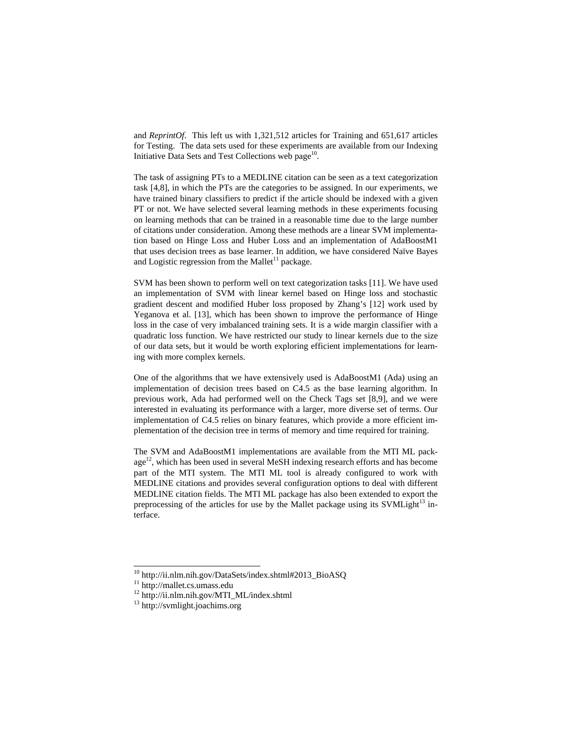and *ReprintOf*. This left us with 1,321,512 articles for Training and 651,617 articles for Testing. The data sets used for these experiments are available from our Indexing Initiative Data Sets and Test Collections web page $10$ .

The task of assigning PTs to a MEDLINE citation can be seen as a text categorization task [4,8], in which the PTs are the categories to be assigned. In our experiments, we have trained binary classifiers to predict if the article should be indexed with a given PT or not. We have selected several learning methods in these experiments focusing on learning methods that can be trained in a reasonable time due to the large number of citations under consideration. Among these methods are a linear SVM implementation based on Hinge Loss and Huber Loss and an implementation of AdaBoostM1 that uses decision trees as base learner. In addition, we have considered Naïve Bayes and Logistic regression from the Mallet<sup>11</sup> package.

SVM has been shown to perform well on text categorization tasks [11]. We have used an implementation of SVM with linear kernel based on Hinge loss and stochastic gradient descent and modified Huber loss proposed by Zhang's [12] work used by Yeganova et al. [13], which has been shown to improve the performance of Hinge loss in the case of very imbalanced training sets. It is a wide margin classifier with a quadratic loss function. We have restricted our study to linear kernels due to the size of our data sets, but it would be worth exploring efficient implementations for learning with more complex kernels.

One of the algorithms that we have extensively used is AdaBoostM1 (Ada) using an implementation of decision trees based on C4.5 as the base learning algorithm. In previous work, Ada had performed well on the Check Tags set [8,9], and we were interested in evaluating its performance with a larger, more diverse set of terms. Our implementation of C4.5 relies on binary features, which provide a more efficient implementation of the decision tree in terms of memory and time required for training.

The SVM and AdaBoostM1 implementations are available from the MTI ML pack $age<sup>12</sup>$ , which has been used in several MeSH indexing research efforts and has become part of the MTI system. The MTI ML tool is already configured to work with MEDLINE citations and provides several configuration options to deal with different MEDLINE citation fields. The MTI ML package has also been extended to export the preprocessing of the articles for use by the Mallet package using its  $SVMLight^{13}$  interface.

<sup>&</sup>lt;sup>10</sup> http://ii.nlm.nih.gov/DataSets/index.shtml#2013\_BioASQ

<sup>&</sup>lt;sup>11</sup> http://mallet.cs.umass.edu

<sup>&</sup>lt;sup>12</sup> http://ii.nlm.nih.gov/MTI\_ML/index.shtml

<sup>13</sup> http://svmlight.joachims.org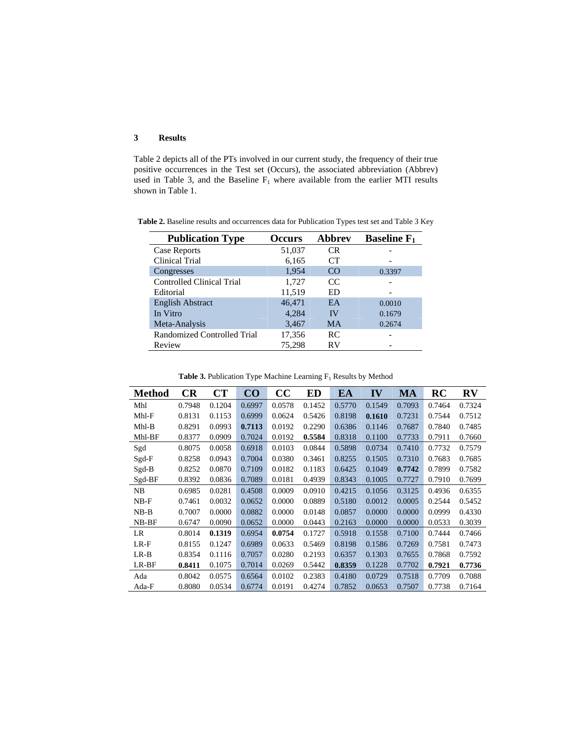# **3 Results**

Table 2 depicts all of the PTs involved in our current study, the frequency of their true positive occurrences in the Test set (Occurs), the associated abbreviation (Abbrev) used in Table 3, and the Baseline  $F_1$  where available from the earlier MTI results shown in Table 1.

| <b>Publication Type</b>          | <b>Occurs</b> | <b>Abbrev</b> | <b>Baseline</b> $F_1$ |
|----------------------------------|---------------|---------------|-----------------------|
| Case Reports                     | 51,037        | <b>CR</b>     |                       |
| Clinical Trial                   | 6,165         | CТ            |                       |
| Congresses                       | 1,954         | CO.           | 0.3397                |
| <b>Controlled Clinical Trial</b> | 1,727         | CC            |                       |
| Editorial                        | 11,519        | ED            |                       |
| <b>English Abstract</b>          | 46,471        | EA            | 0.0010                |
| In Vitro                         | 4,284         | IV            | 0.1679                |
| Meta-Analysis                    | 3,467         | <b>MA</b>     | 0.2674                |
| Randomized Controlled Trial      | 17,356        | RC            |                       |
| Review                           | 75.298        | RV            |                       |

**Table 2.** Baseline results and occurrences data for Publication Types test set and Table 3 Key

| <b>Method</b> | CR     | CT     | CO.    | cc     | <b>ED</b> | EA     | IV     | MA     | RC     | $\mathbf{R}\mathbf{V}$ |
|---------------|--------|--------|--------|--------|-----------|--------|--------|--------|--------|------------------------|
| Mhl           | 0.7948 | 0.1204 | 0.6997 | 0.0578 | 0.1452    | 0.5770 | 0.1549 | 0.7093 | 0.7464 | 0.7324                 |
| $Mhl-F$       | 0.8131 | 0.1153 | 0.6999 | 0.0624 | 0.5426    | 0.8198 | 0.1610 | 0.7231 | 0.7544 | 0.7512                 |
| $Mhl-B$       | 0.8291 | 0.0993 | 0.7113 | 0.0192 | 0.2290    | 0.6386 | 0.1146 | 0.7687 | 0.7840 | 0.7485                 |
| Mhl-BF        | 0.8377 | 0.0909 | 0.7024 | 0.0192 | 0.5584    | 0.8318 | 0.1100 | 0.7733 | 0.7911 | 0.7660                 |
| Sgd           | 0.8075 | 0.0058 | 0.6918 | 0.0103 | 0.0844    | 0.5898 | 0.0734 | 0.7410 | 0.7732 | 0.7579                 |
| Sgd-F         | 0.8258 | 0.0943 | 0.7004 | 0.0380 | 0.3461    | 0.8255 | 0.1505 | 0.7310 | 0.7683 | 0.7685                 |
| $Sgd-B$       | 0.8252 | 0.0870 | 0.7109 | 0.0182 | 0.1183    | 0.6425 | 0.1049 | 0.7742 | 0.7899 | 0.7582                 |
| Sgd-BF        | 0.8392 | 0.0836 | 0.7089 | 0.0181 | 0.4939    | 0.8343 | 0.1005 | 0.7727 | 0.7910 | 0.7699                 |
| NB            | 0.6985 | 0.0281 | 0.4508 | 0.0009 | 0.0910    | 0.4215 | 0.1056 | 0.3125 | 0.4936 | 0.6355                 |
| $NB-F$        | 0.7461 | 0.0032 | 0.0652 | 0.0000 | 0.0889    | 0.5180 | 0.0012 | 0.0005 | 0.2544 | 0.5452                 |
| $NB-B$        | 0.7007 | 0.0000 | 0.0882 | 0.0000 | 0.0148    | 0.0857 | 0.0000 | 0.0000 | 0.0999 | 0.4330                 |
| $NB-BF$       | 0.6747 | 0.0090 | 0.0652 | 0.0000 | 0.0443    | 0.2163 | 0.0000 | 0.0000 | 0.0533 | 0.3039                 |
| LR            | 0.8014 | 0.1319 | 0.6954 | 0.0754 | 0.1727    | 0.5918 | 0.1558 | 0.7100 | 0.7444 | 0.7466                 |
| $LR-F$        | 0.8155 | 0.1247 | 0.6989 | 0.0633 | 0.5469    | 0.8198 | 0.1586 | 0.7269 | 0.7581 | 0.7473                 |
| $LR-B$        | 0.8354 | 0.1116 | 0.7057 | 0.0280 | 0.2193    | 0.6357 | 0.1303 | 0.7655 | 0.7868 | 0.7592                 |
| LR-BF         | 0.8411 | 0.1075 | 0.7014 | 0.0269 | 0.5442    | 0.8359 | 0.1228 | 0.7702 | 0.7921 | 0.7736                 |
| Ada           | 0.8042 | 0.0575 | 0.6564 | 0.0102 | 0.2383    | 0.4180 | 0.0729 | 0.7518 | 0.7709 | 0.7088                 |
| Ada-F         | 0.8080 | 0.0534 | 0.6774 | 0.0191 | 0.4274    | 0.7852 | 0.0653 | 0.7507 | 0.7738 | 0.7164                 |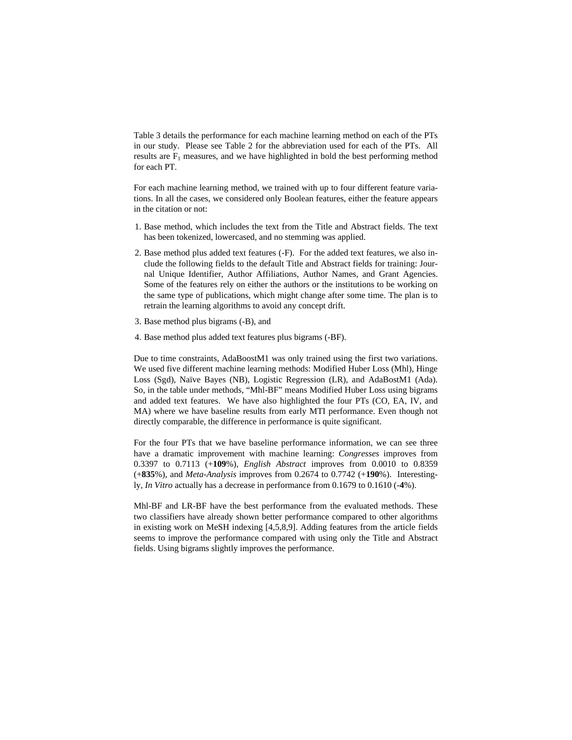Table 3 details the performance for each machine learning method on each of the PTs in our study. Please see Table 2 for the abbreviation used for each of the PTs. All results are  $F_1$  measures, and we have highlighted in bold the best performing method for each PT.

For each machine learning method, we trained with up to four different feature variations. In all the cases, we considered only Boolean features, either the feature appears in the citation or not:

- 1. Base method, which includes the text from the Title and Abstract fields. The text has been tokenized, lowercased, and no stemming was applied.
- 2. Base method plus added text features (-F). For the added text features, we also include the following fields to the default Title and Abstract fields for training: Journal Unique Identifier, Author Affiliations, Author Names, and Grant Agencies. Some of the features rely on either the authors or the institutions to be working on the same type of publications, which might change after some time. The plan is to retrain the learning algorithms to avoid any concept drift.
- 3. Base method plus bigrams (-B), and
- 4. Base method plus added text features plus bigrams (-BF).

Due to time constraints, AdaBoostM1 was only trained using the first two variations. We used five different machine learning methods: Modified Huber Loss (Mhl), Hinge Loss (Sgd), Naïve Bayes (NB), Logistic Regression (LR), and AdaBostM1 (Ada). So, in the table under methods, "Mhl-BF" means Modified Huber Loss using bigrams and added text features. We have also highlighted the four PTs (CO, EA, IV, and MA) where we have baseline results from early MTI performance. Even though not directly comparable, the difference in performance is quite significant.

For the four PTs that we have baseline performance information, we can see three have a dramatic improvement with machine learning: *Congresses* improves from 0.3397 to 0.7113 (+**109**%), *English Abstract* improves from 0.0010 to 0.8359 (+**835**%), and *Meta-Analysis* improves from 0.2674 to 0.7742 (+**190**%). Interestingly, *In Vitro* actually has a decrease in performance from 0.1679 to 0.1610 (-**4**%).

Mhl-BF and LR-BF have the best performance from the evaluated methods. These two classifiers have already shown better performance compared to other algorithms in existing work on MeSH indexing [4,5,8,9]. Adding features from the article fields seems to improve the performance compared with using only the Title and Abstract fields. Using bigrams slightly improves the performance.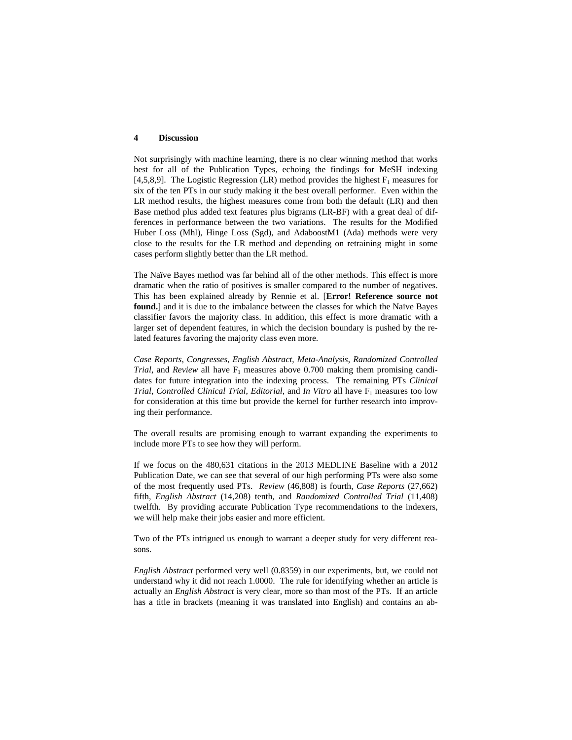#### **4 Discussion**

Not surprisingly with machine learning, there is no clear winning method that works best for all of the Publication Types, echoing the findings for MeSH indexing [4,5,8,9]. The Logistic Regression (LR) method provides the highest  $F_1$  measures for six of the ten PTs in our study making it the best overall performer. Even within the LR method results, the highest measures come from both the default (LR) and then Base method plus added text features plus bigrams (LR-BF) with a great deal of differences in performance between the two variations. The results for the Modified Huber Loss (Mhl), Hinge Loss (Sgd), and AdaboostM1 (Ada) methods were very close to the results for the LR method and depending on retraining might in some cases perform slightly better than the LR method.

The Naïve Bayes method was far behind all of the other methods. This effect is more dramatic when the ratio of positives is smaller compared to the number of negatives. This has been explained already by Rennie et al. [**Error! Reference source not found.**] and it is due to the imbalance between the classes for which the Naïve Bayes classifier favors the majority class. In addition, this effect is more dramatic with a larger set of dependent features, in which the decision boundary is pushed by the related features favoring the majority class even more.

*Case Reports*, *Congresses*, *English Abstract*, *Meta-Analysis*, *Randomized Controlled Trial*, and *Review* all have  $F_1$  measures above 0.700 making them promising candidates for future integration into the indexing process. The remaining PTs *Clinical Trial, Controlled Clinical Trial, Editorial, and <i>In Vitro* all have F<sub>1</sub> measures too low for consideration at this time but provide the kernel for further research into improving their performance.

The overall results are promising enough to warrant expanding the experiments to include more PTs to see how they will perform.

If we focus on the 480,631 citations in the 2013 MEDLINE Baseline with a 2012 Publication Date, we can see that several of our high performing PTs were also some of the most frequently used PTs. *Review* (46,808) is fourth, *Case Reports* (27,662) fifth, *English Abstract* (14,208) tenth, and *Randomized Controlled Trial* (11,408) twelfth. By providing accurate Publication Type recommendations to the indexers, we will help make their jobs easier and more efficient.

Two of the PTs intrigued us enough to warrant a deeper study for very different reasons.

*English Abstract* performed very well (0.8359) in our experiments, but, we could not understand why it did not reach 1.0000. The rule for identifying whether an article is actually an *English Abstract* is very clear, more so than most of the PTs. If an article has a title in brackets (meaning it was translated into English) and contains an ab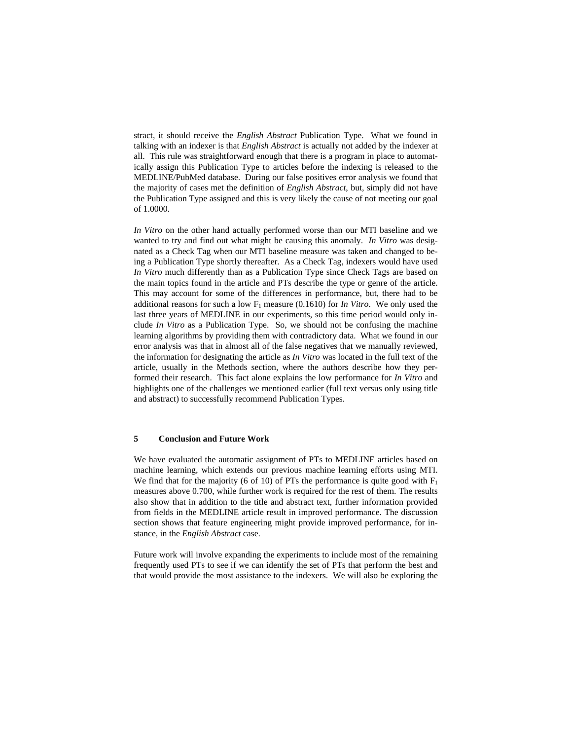stract, it should receive the *English Abstract* Publication Type. What we found in talking with an indexer is that *English Abstract* is actually not added by the indexer at all. This rule was straightforward enough that there is a program in place to automatically assign this Publication Type to articles before the indexing is released to the MEDLINE/PubMed database. During our false positives error analysis we found that the majority of cases met the definition of *English Abstract*, but, simply did not have the Publication Type assigned and this is very likely the cause of not meeting our goal of 1.0000.

*In Vitro* on the other hand actually performed worse than our MTI baseline and we wanted to try and find out what might be causing this anomaly. *In Vitro* was designated as a Check Tag when our MTI baseline measure was taken and changed to being a Publication Type shortly thereafter. As a Check Tag, indexers would have used *In Vitro* much differently than as a Publication Type since Check Tags are based on the main topics found in the article and PTs describe the type or genre of the article. This may account for some of the differences in performance, but, there had to be additional reasons for such a low  $F_1$  measure (0.1610) for *In Vitro*. We only used the last three years of MEDLINE in our experiments, so this time period would only include *In Vitro* as a Publication Type. So, we should not be confusing the machine learning algorithms by providing them with contradictory data. What we found in our error analysis was that in almost all of the false negatives that we manually reviewed, the information for designating the article as *In Vitro* was located in the full text of the article, usually in the Methods section, where the authors describe how they performed their research. This fact alone explains the low performance for *In Vitro* and highlights one of the challenges we mentioned earlier (full text versus only using title and abstract) to successfully recommend Publication Types.

## **5 Conclusion and Future Work**

We have evaluated the automatic assignment of PTs to MEDLINE articles based on machine learning, which extends our previous machine learning efforts using MTI. We find that for the majority (6 of 10) of PTs the performance is quite good with  $F_1$ measures above 0.700, while further work is required for the rest of them. The results also show that in addition to the title and abstract text, further information provided from fields in the MEDLINE article result in improved performance. The discussion section shows that feature engineering might provide improved performance, for instance, in the *English Abstract* case.

Future work will involve expanding the experiments to include most of the remaining frequently used PTs to see if we can identify the set of PTs that perform the best and that would provide the most assistance to the indexers. We will also be exploring the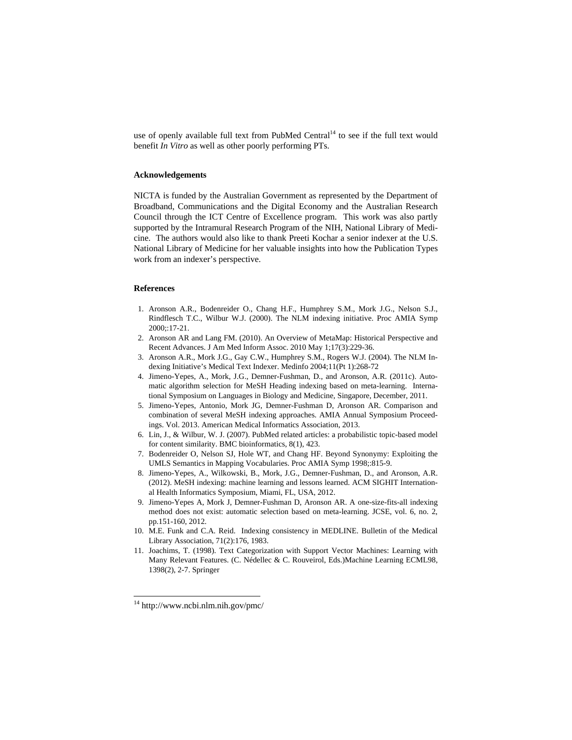use of openly available full text from PubMed Central<sup>14</sup> to see if the full text would benefit *In Vitro* as well as other poorly performing PTs.

# **Acknowledgements**

NICTA is funded by the Australian Government as represented by the Department of Broadband, Communications and the Digital Economy and the Australian Research Council through the ICT Centre of Excellence program. This work was also partly supported by the Intramural Research Program of the NIH, National Library of Medicine. The authors would also like to thank Preeti Kochar a senior indexer at the U.S. National Library of Medicine for her valuable insights into how the Publication Types work from an indexer's perspective.

# **References**

- 1. Aronson A.R., Bodenreider O., Chang H.F., Humphrey S.M., Mork J.G., Nelson S.J., Rindflesch T.C., Wilbur W.J. (2000). The NLM indexing initiative. Proc AMIA Symp 2000;:17-21.
- 2. Aronson AR and Lang FM. (2010). An Overview of MetaMap: Historical Perspective and Recent Advances. J Am Med Inform Assoc. 2010 May 1;17(3):229-36.
- 3. Aronson A.R., Mork J.G., Gay C.W., Humphrey S.M., Rogers W.J. (2004). The NLM Indexing Initiative's Medical Text Indexer. Medinfo 2004;11(Pt 1):268-72
- 4. Jimeno-Yepes, A., Mork, J.G., Demner-Fushman, D., and Aronson, A.R. (2011c). Automatic algorithm selection for MeSH Heading indexing based on meta-learning. International Symposium on Languages in Biology and Medicine, Singapore, December, 2011.
- 5. Jimeno-Yepes, Antonio, Mork JG, Demner-Fushman D, Aronson AR. Comparison and combination of several MeSH indexing approaches. AMIA Annual Symposium Proceedings. Vol. 2013. American Medical Informatics Association, 2013.
- 6. Lin, J., & Wilbur, W. J. (2007). PubMed related articles: a probabilistic topic-based model for content similarity. BMC bioinformatics, 8(1), 423.
- 7. Bodenreider O, Nelson SJ, Hole WT, and Chang HF. Beyond Synonymy: Exploiting the UMLS Semantics in Mapping Vocabularies. Proc AMIA Symp 1998;:815-9.
- 8. Jimeno-Yepes, A., Wilkowski, B., Mork, J.G., Demner-Fushman, D., and Aronson, A.R. (2012). MeSH indexing: machine learning and lessons learned. ACM SIGHIT International Health Informatics Symposium, Miami, FL, USA, 2012.
- 9. Jimeno-Yepes A, Mork J, Demner-Fushman D, Aronson AR. A one-size-fits-all indexing method does not exist: automatic selection based on meta-learning. JCSE, vol. 6, no. 2, pp.151-160, 2012.
- 10. M.E. Funk and C.A. Reid. Indexing consistency in MEDLINE. Bulletin of the Medical Library Association, 71(2):176, 1983.
- 11. Joachims, T. (1998). Text Categorization with Support Vector Machines: Learning with Many Relevant Features. (C. Nédellec & C. Rouveirol, Eds.)Machine Learning ECML98, 1398(2), 2-7. Springer

 $14 \text{ http://www.ncbi.nlm.nih.gov/pmc/}$